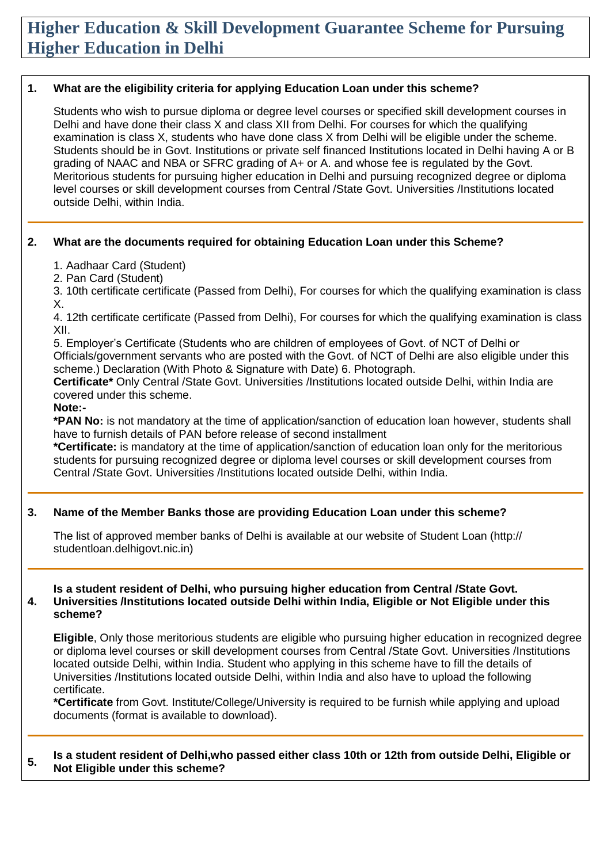# **Higher Education & Skill Development Guarantee Scheme for Pursuing Higher Education in Delhi**

#### **1. What are the eligibility criteria for applying Education Loan under this scheme?**

Students who wish to pursue diploma or degree level courses or specified skill development courses in Delhi and have done their class X and class XII from Delhi. For courses for which the qualifying examination is class X, students who have done class X from Delhi will be eligible under the scheme. Students should be in Govt. Institutions or private self financed Institutions located in Delhi having A or B grading of NAAC and NBA or SFRC grading of A+ or A. and whose fee is regulated by the Govt. Meritorious students for pursuing higher education in Delhi and pursuing recognized degree or diploma level courses or skill development courses from Central /State Govt. Universities /Institutions located outside Delhi, within India.

#### **2. What are the documents required for obtaining Education Loan under this Scheme?**

1. Aadhaar Card (Student)

2. Pan Card (Student)

3. 10th certificate certificate (Passed from Delhi), For courses for which the qualifying examination is class X.

4. 12th certificate certificate (Passed from Delhi), For courses for which the qualifying examination is class XII.

5. Employer's Certificate (Students who are children of employees of Govt. of NCT of Delhi or Officials/government servants who are posted with the Govt. of NCT of Delhi are also eligible under this scheme.) Declaration (With Photo & Signature with Date) 6. Photograph.

**Certificate\*** Only Central /State Govt. Universities /Institutions located outside Delhi, within India are covered under this scheme.

#### **Note:-**

**\*PAN No:** is not mandatory at the time of application/sanction of education loan however, students shall have to furnish details of PAN before release of second installment

**\*Certificate:** is mandatory at the time of application/sanction of education loan only for the meritorious students for pursuing recognized degree or diploma level courses or skill development courses from Central /State Govt. Universities /Institutions located outside Delhi, within India.

### **3. Name of the Member Banks those are providing Education Loan under this scheme?**

The list of approved member banks of Delhi is available at our website of Student Loan (http:// studentloan.delhigovt.nic.in)

#### **4. Is a student resident of Delhi, who pursuing higher education from Central /State Govt. Universities /Institutions located outside Delhi within India, Eligible or Not Eligible under this scheme?**

**Eligible**, Only those meritorious students are eligible who pursuing higher education in recognized degree or diploma level courses or skill development courses from Central /State Govt. Universities /Institutions located outside Delhi, within India. Student who applying in this scheme have to fill the details of Universities /Institutions located outside Delhi, within India and also have to upload the following certificate.

**\*Certificate** from Govt. Institute/College/University is required to be furnish while applying and upload documents (format is available to download).

#### **5. Is a student resident of Delhi,who passed either class 10th or 12th from outside Delhi, Eligible or Not Eligible under this scheme?**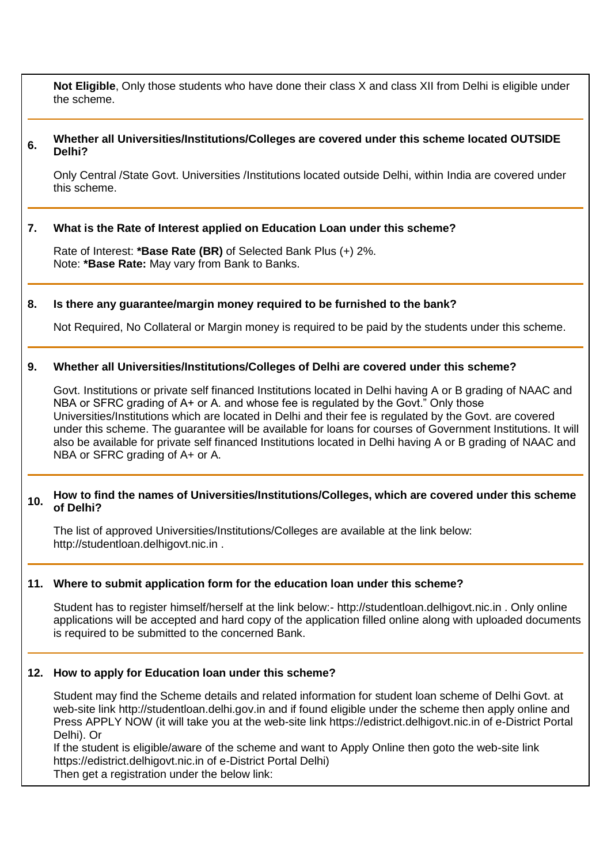**Not Eligible**, Only those students who have done their class X and class XII from Delhi is eligible under the scheme.

#### **6. Whether all Universities/Institutions/Colleges are covered under this scheme located OUTSIDE Delhi?**

Only Central /State Govt. Universities /Institutions located outside Delhi, within India are covered under this scheme.

#### **7. What is the Rate of Interest applied on Education Loan under this scheme?**

Rate of Interest: **\*Base Rate (BR)** of Selected Bank Plus (+) 2%. Note: **\*Base Rate:** May vary from Bank to Banks.

#### **8. Is there any guarantee/margin money required to be furnished to the bank?**

Not Required, No Collateral or Margin money is required to be paid by the students under this scheme.

#### **9. Whether all Universities/Institutions/Colleges of Delhi are covered under this scheme?**

Govt. Institutions or private self financed Institutions located in Delhi having A or B grading of NAAC and NBA or SFRC grading of A+ or A. and whose fee is regulated by the Govt." Only those Universities/Institutions which are located in Delhi and their fee is regulated by the Govt. are covered under this scheme. The guarantee will be available for loans for courses of Government Institutions. It will also be available for private self financed Institutions located in Delhi having A or B grading of NAAC and NBA or SFRC grading of A+ or A.

## **10. How to find the names of Universities/Institutions/Colleges, which are covered under this scheme of Delhi?**

The list of approved Universities/Institutions/Colleges are available at the link below: http://studentloan.delhigovt.nic.in .

#### **11. Where to submit application form for the education loan under this scheme?**

Student has to register himself/herself at the link below:- http://studentloan.delhigovt.nic.in . Only online applications will be accepted and hard copy of the application filled online along with uploaded documents is required to be submitted to the concerned Bank.

#### **12. How to apply for Education loan under this scheme?**

Student may find the Scheme details and related information for student loan scheme of Delhi Govt. at web-site link http://studentloan.delhi.gov.in and if found eligible under the scheme then apply online and Press APPLY NOW (it will take you at the web-site link https://edistrict.delhigovt.nic.in of e-District Portal Delhi). Or

If the student is eligible/aware of the scheme and want to Apply Online then goto the web-site link https://edistrict.delhigovt.nic.in of e-District Portal Delhi) Then get a registration under the below link: